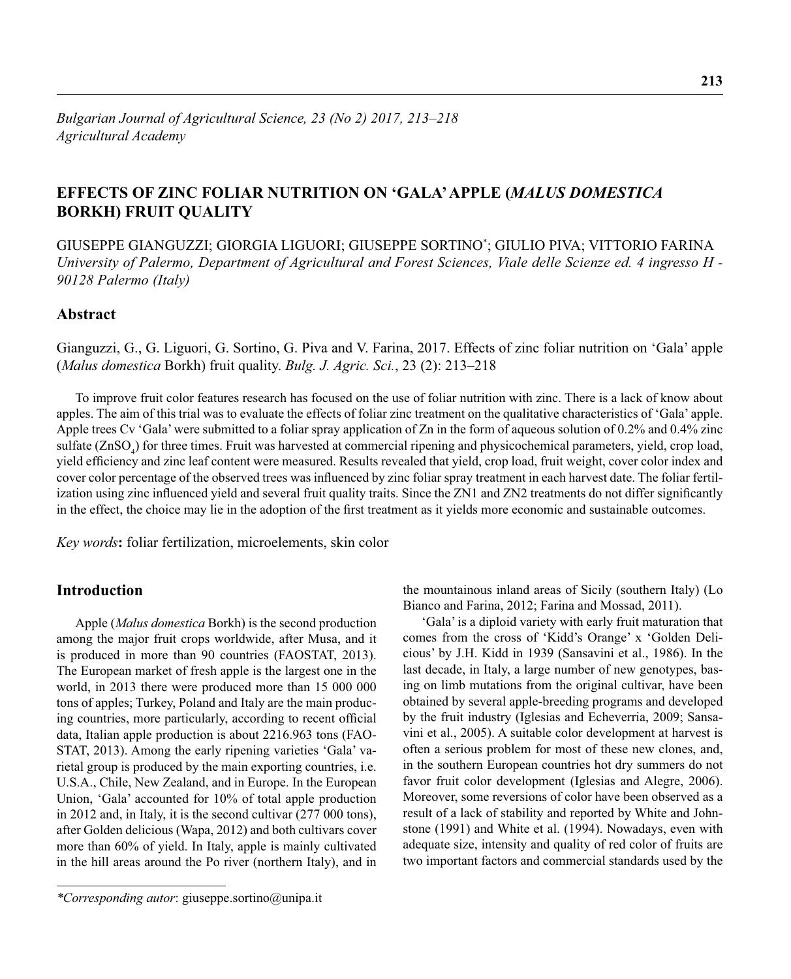# **EFFECTS OF ZINC FOLIAR NUTRITION ON 'GALA' APPLE (***MALUS DOMESTICA*  **BORKH) FRUIT QUALITY**

GIUSEPPE GIANGUZZI; GIORGIA LIGUORI; GIUSEPPE SORTINO\* ; GIULIO PIVA; VITTORIO FARINA *University of Palermo, Department of Agricultural and Forest Sciences, Viale delle Scienze ed. 4 ingresso H - 90128 Palermo (Italy)*

## **Abstract**

Gianguzzi, G., G. Liguori, G. Sortino, G. Piva and V. Farina, 2017. Effects of zinc foliar nutrition on 'Gala' apple (*Malus domestica* Borkh) fruit quality. *Bulg. J. Agric. Sci.*, 23 (2): 213–218

To improve fruit color features research has focused on the use of foliar nutrition with zinc. There is a lack of know about apples. The aim of this trial was to evaluate the effects of foliar zinc treatment on the qualitative characteristics of 'Gala' apple. Apple trees Cv 'Gala' were submitted to a foliar spray application of Zn in the form of aqueous solution of 0.2% and 0.4% zinc sulfate  $(ZnSO_4)$  for three times. Fruit was harvested at commercial ripening and physicochemical parameters, yield, crop load, yield efficiency and zinc leaf content were measured. Results revealed that yield, crop load, fruit weight, cover color index and cover color percentage of the observed trees was influenced by zinc foliar spray treatment in each harvest date. The foliar fertilization using zinc influenced yield and several fruit quality traits. Since the ZN1 and ZN2 treatments do not differ significantly in the effect, the choice may lie in the adoption of the first treatment as it yields more economic and sustainable outcomes.

*Key words***:** foliar fertilization, microelements, skin color

## **Introduction**

Apple (*Malus domestica* Borkh) is the second production among the major fruit crops worldwide, after Musa, and it is produced in more than 90 countries (FAOSTAT, 2013). The European market of fresh apple is the largest one in the world, in 2013 there were produced more than 15 000 000 tons of apples; Turkey, Poland and Italy are the main producing countries, more particularly, according to recent official data, Italian apple production is about 2216.963 tons (FAO-STAT, 2013). Among the early ripening varieties 'Gala' varietal group is produced by the main exporting countries, i.e. U.S.A., Chile, New Zealand, and in Europe. In the European Union, 'Gala' accounted for 10% of total apple production in 2012 and, in Italy, it is the second cultivar (277 000 tons), after Golden delicious (Wapa, 2012) and both cultivars cover more than 60% of yield. In Italy, apple is mainly cultivated in the hill areas around the Po river (northern Italy), and in

the mountainous inland areas of Sicily (southern Italy) (Lo Bianco and Farina, 2012; Farina and Mossad, 2011).

'Gala' is a diploid variety with early fruit maturation that comes from the cross of 'Kidd's Orange' x 'Golden Delicious' by J.H. Kidd in 1939 (Sansavini et al., 1986). In the last decade, in Italy, a large number of new genotypes, basing on limb mutations from the original cultivar, have been obtained by several apple-breeding programs and developed by the fruit industry (Iglesias and Echeverria, 2009; Sansavini et al., 2005). A suitable color development at harvest is often a serious problem for most of these new clones, and, in the southern European countries hot dry summers do not favor fruit color development (Iglesias and Alegre, 2006). Moreover, some reversions of color have been observed as a result of a lack of stability and reported by White and Johnstone (1991) and White et al. (1994). Nowadays, even with adequate size, intensity and quality of red color of fruits are two important factors and commercial standards used by the

*<sup>\*</sup>Corresponding autor*: giuseppe.sortino@unipa.it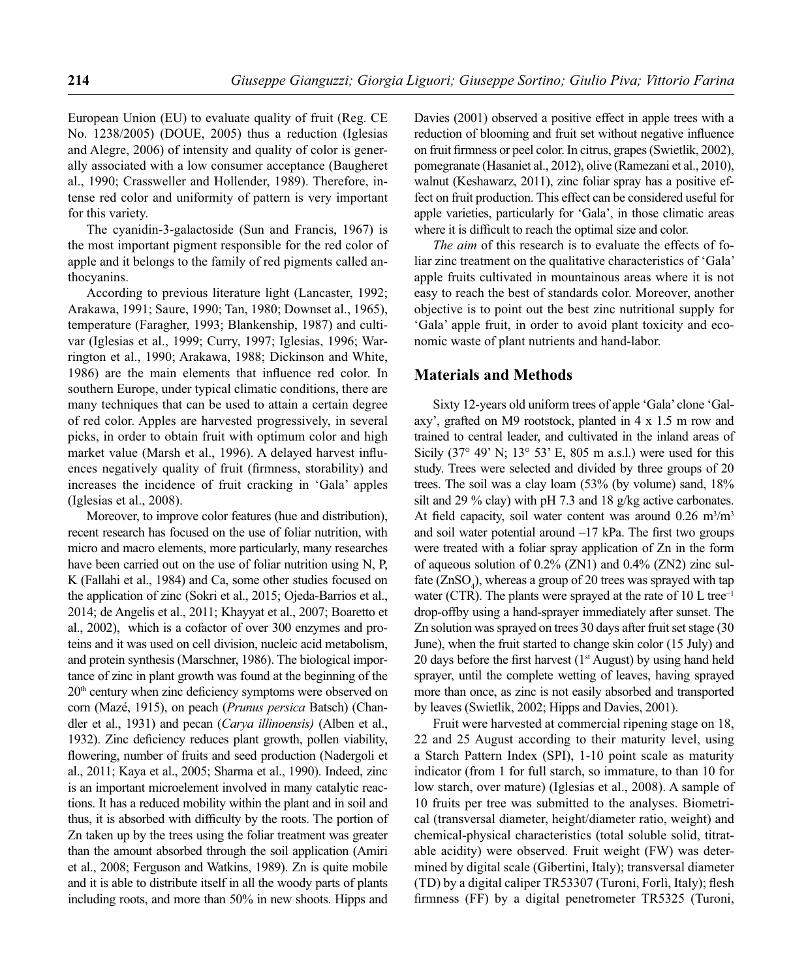European Union (EU) to evaluate quality of fruit (Reg. CE No. 1238/2005) (DOUE, 2005) thus a reduction (Iglesias and Alegre, 2006) of intensity and quality of color is generally associated with a low consumer acceptance (Baugheret al., 1990; Crassweller and Hollender, 1989). Therefore, intense red color and uniformity of pattern is very important for this variety.

The cyanidin-3-galactoside (Sun and Francis, 1967) is the most important pigment responsible for the red color of apple and it belongs to the family of red pigments called anthocyanins.

According to previous literature light (Lancaster, 1992; Arakawa, 1991; Saure, 1990; Tan, 1980; Downset al., 1965), temperature (Faragher, 1993; Blankenship, 1987) and cultivar (Iglesias et al., 1999; Curry, 1997; Iglesias, 1996; Warrington et al., 1990; Arakawa, 1988; Dickinson and White, 1986) are the main elements that influence red color. In southern Europe, under typical climatic conditions, there are many techniques that can be used to attain a certain degree of red color. Apples are harvested progressively, in several picks, in order to obtain fruit with optimum color and high market value (Marsh et al., 1996). A delayed harvest influences negatively quality of fruit (firmness, storability) and increases the incidence of fruit cracking in 'Gala' apples (Iglesias et al., 2008).

Moreover, to improve color features (hue and distribution), recent research has focused on the use of foliar nutrition, with micro and macro elements, more particularly, many researches have been carried out on the use of foliar nutrition using N, P, K (Fallahi et al., 1984) and Ca, some other studies focused on the application of zinc (Sokri et al., 2015; Ojeda-Barrios et al., 2014; de Angelis et al., 2011; Khayyat et al., 2007; Boaretto et al., 2002), which is a cofactor of over 300 enzymes and proteins and it was used on cell division, nucleic acid metabolism, and protein synthesis (Marschner, 1986). The biological importance of zinc in plant growth was found at the beginning of the 20<sup>th</sup> century when zinc deficiency symptoms were observed on corn (Mazé, 1915), on peach (*Prunus persica* Batsch) (Chandler et al., 1931) and pecan (*Carya illinoensis)* (Alben et al., 1932). Zinc deficiency reduces plant growth, pollen viability, flowering, number of fruits and seed production (Nadergoli et al., 2011; Kaya et al., 2005; Sharma et al., 1990). Indeed, zinc is an important microelement involved in many catalytic reactions. It has a reduced mobility within the plant and in soil and thus, it is absorbed with difficulty by the roots. The portion of Zn taken up by the trees using the foliar treatment was greater than the amount absorbed through the soil application (Amiri et al., 2008; Ferguson and Watkins, 1989). Zn is quite mobile and it is able to distribute itself in all the woody parts of plants including roots, and more than 50% in new shoots. Hipps and Davies (2001) observed a positive effect in apple trees with a reduction of blooming and fruit set without negative influence on fruit firmness or peel color. In citrus, grapes (Swietlik, 2002), pomegranate (Hasaniet al., 2012), olive (Ramezani et al., 2010), walnut (Keshawarz, 2011), zinc foliar spray has a positive effect on fruit production. This effect can be considered useful for apple varieties, particularly for 'Gala', in those climatic areas where it is difficult to reach the optimal size and color.

*The aim* of this research is to evaluate the effects of foliar zinc treatment on the qualitative characteristics of 'Gala' apple fruits cultivated in mountainous areas where it is not easy to reach the best of standards color. Moreover, another objective is to point out the best zinc nutritional supply for 'Gala' apple fruit, in order to avoid plant toxicity and economic waste of plant nutrients and hand-labor.

## **Materials and Methods**

Sixty 12-years old uniform trees of apple 'Gala' clone 'Galaxy', grafted on M9 rootstock, planted in 4 x 1.5 m row and trained to central leader, and cultivated in the inland areas of Sicily  $(37^{\circ} 49' N; 13^{\circ} 53' E, 805 m a.s.l.)$  were used for this study. Trees were selected and divided by three groups of 20 trees. The soil was a clay loam (53% (by volume) sand, 18% silt and 29 % clay) with pH 7.3 and 18 g/kg active carbonates. At field capacity, soil water content was around  $0.26 \text{ m}^3/\text{m}^3$ and soil water potential around  $-17$  kPa. The first two groups were treated with a foliar spray application of Zn in the form of aqueous solution of 0.2% (ZN1) and 0.4% (ZN2) zinc sulfate  $(ZnSO<sub>4</sub>)$ , whereas a group of 20 trees was sprayed with tap water (CTR). The plants were sprayed at the rate of  $10$  L tree<sup>-1</sup> drop-offby using a hand-sprayer immediately after sunset. The Zn solution was sprayed on trees 30 days after fruit set stage (30 June), when the fruit started to change skin color (15 July) and 20 days before the first harvest  $(1<sup>st</sup> August)$  by using hand held sprayer, until the complete wetting of leaves, having sprayed more than once, as zinc is not easily absorbed and transported by leaves (Swietlik, 2002; Hipps and Davies, 2001).

Fruit were harvested at commercial ripening stage on 18, 22 and 25 August according to their maturity level, using a Starch Pattern Index (SPI), 1-10 point scale as maturity indicator (from 1 for full starch, so immature, to than 10 for low starch, over mature) (Iglesias et al., 2008). A sample of 10 fruits per tree was submitted to the analyses. Biometrical (transversal diameter, height/diameter ratio, weight) and chemical-physical characteristics (total soluble solid, titratable acidity) were observed. Fruit weight (FW) was determined by digital scale (Gibertini, Italy); transversal diameter (TD) by a digital caliper TR53307 (Turoni, Forlì, Italy); flesh firmness (FF) by a digital penetrometer TR5325 (Turoni,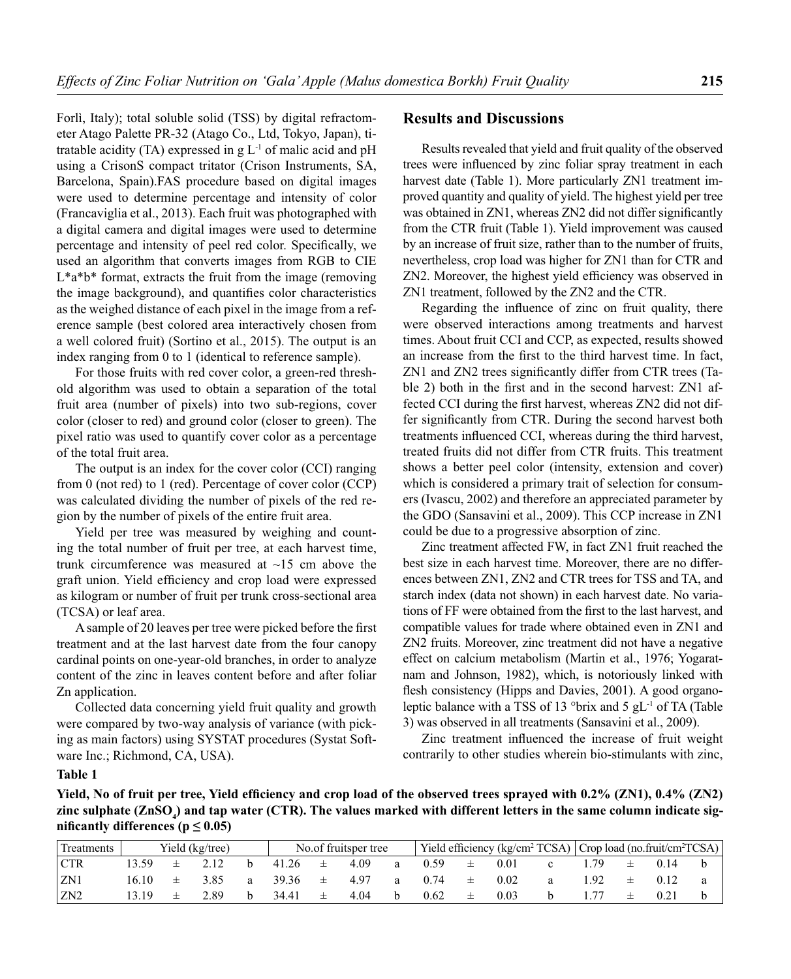Forlì, Italy); total soluble solid (TSS) by digital refractometer Atago Palette PR-32 (Atago Co., Ltd, Tokyo, Japan), titratable acidity (TA) expressed in  $g L<sup>-1</sup>$  of malic acid and pH using a CrisonS compact tritator (Crison Instruments, SA, Barcelona, Spain).FAS procedure based on digital images were used to determine percentage and intensity of color (Francaviglia et al., 2013). Each fruit was photographed with a digital camera and digital images were used to determine percentage and intensity of peel red color. Specifically, we used an algorithm that converts images from RGB to CIE L\*a\*b\* format, extracts the fruit from the image (removing the image background), and quantifies color characteristics as the weighed distance of each pixel in the image from a reference sample (best colored area interactively chosen from a well colored fruit) (Sortino et al., 2015). The output is an index ranging from 0 to 1 (identical to reference sample).

For those fruits with red cover color, a green-red threshold algorithm was used to obtain a separation of the total fruit area (number of pixels) into two sub-regions, cover color (closer to red) and ground color (closer to green). The pixel ratio was used to quantify cover color as a percentage of the total fruit area.

The output is an index for the cover color (CCI) ranging from 0 (not red) to 1 (red). Percentage of cover color (CCP) was calculated dividing the number of pixels of the red region by the number of pixels of the entire fruit area.

Yield per tree was measured by weighing and counting the total number of fruit per tree, at each harvest time, trunk circumference was measured at  $\sim$ 15 cm above the graft union. Yield efficiency and crop load were expressed as kilogram or number of fruit per trunk cross-sectional area (TCSA) or leaf area.

A sample of 20 leaves per tree were picked before the first treatment and at the last harvest date from the four canopy cardinal points on one-year-old branches, in order to analyze content of the zinc in leaves content before and after foliar Zn application.

Collected data concerning yield fruit quality and growth were compared by two-way analysis of variance (with picking as main factors) using SYSTAT procedures (Systat Software Inc.; Richmond, CA, USA).

#### **Results and Discussions**

Results revealed that yield and fruit quality of the observed trees were influenced by zinc foliar spray treatment in each harvest date (Table 1). More particularly ZN1 treatment improved quantity and quality of yield. The highest yield per tree was obtained in ZN1, whereas ZN2 did not differ significantly from the CTR fruit (Table 1). Yield improvement was caused by an increase of fruit size, rather than to the number of fruits, nevertheless, crop load was higher for ZN1 than for CTR and ZN2. Moreover, the highest yield efficiency was observed in ZN1 treatment, followed by the ZN2 and the CTR.

Regarding the influence of zinc on fruit quality, there were observed interactions among treatments and harvest times. About fruit CCI and CCP, as expected, results showed an increase from the first to the third harvest time. In fact, ZN1 and ZN2 trees significantly differ from CTR trees (Table 2) both in the first and in the second harvest: ZN1 affected CCI during the first harvest, whereas ZN2 did not differ significantly from CTR. During the second harvest both treatments influenced CCI, whereas during the third harvest, treated fruits did not differ from CTR fruits. This treatment shows a better peel color (intensity, extension and cover) which is considered a primary trait of selection for consumers (Ivascu, 2002) and therefore an appreciated parameter by the GDO (Sansavini et al., 2009). This CCP increase in ZN1 could be due to a progressive absorption of zinc.

Zinc treatment affected FW, in fact ZN1 fruit reached the best size in each harvest time. Moreover, there are no differences between ZN1, ZN2 and CTR trees for TSS and TA, and starch index (data not shown) in each harvest date. No variations of FF were obtained from the first to the last harvest, and compatible values for trade where obtained even in ZN1 and ZN2 fruits. Moreover, zinc treatment did not have a negative effect on calcium metabolism (Martin et al., 1976; Yogaratnam and Johnson, 1982), which, is notoriously linked with flesh consistency (Hipps and Davies, 2001). A good organoleptic balance with a TSS of 13 °brix and 5  $gL$ <sup>-1</sup> of TA (Table 3) was observed in all treatments (Sansavini et al., 2009).

Zinc treatment influenced the increase of fruit weight contrarily to other studies wherein bio-stimulants with zinc,

#### **Table 1**

Yield, No of fruit per tree, Yield efficiency and crop load of the observed trees sprayed with 0.2% (ZN1), 0.4% (ZN2) zinc sulphate (ZnSO<sub>4</sub>) and tap water (CTR). The values marked with different letters in the same column indicate significantly differences ( $p \leq 0.05$ )

| Treatments      |       | Yield (kg/tree) | No.of fruitsper tree |       |     |      |   |      |   | Yield efficiency (kg/cm <sup>2</sup> TCSA) Crop load (no.fruit/cm <sup>2</sup> TCSA) |  |     |  |      |  |
|-----------------|-------|-----------------|----------------------|-------|-----|------|---|------|---|--------------------------------------------------------------------------------------|--|-----|--|------|--|
| <b>CTR</b>      |       |                 |                      | 41.26 | 土   | 4.09 | a | 0.59 | 土 | 0.01                                                                                 |  |     |  | 0.14 |  |
| ZN1             | 16.10 | 3.85            | a                    | 39.36 | 一生一 | 4.97 | а | 0.74 | 土 | 0.02                                                                                 |  | -92 |  | 0.12 |  |
| ZN <sub>2</sub> |       | 2.89            |                      | 34.41 | 士   | 4.04 |   | 0.62 | 土 | 0.03                                                                                 |  |     |  | 0.2  |  |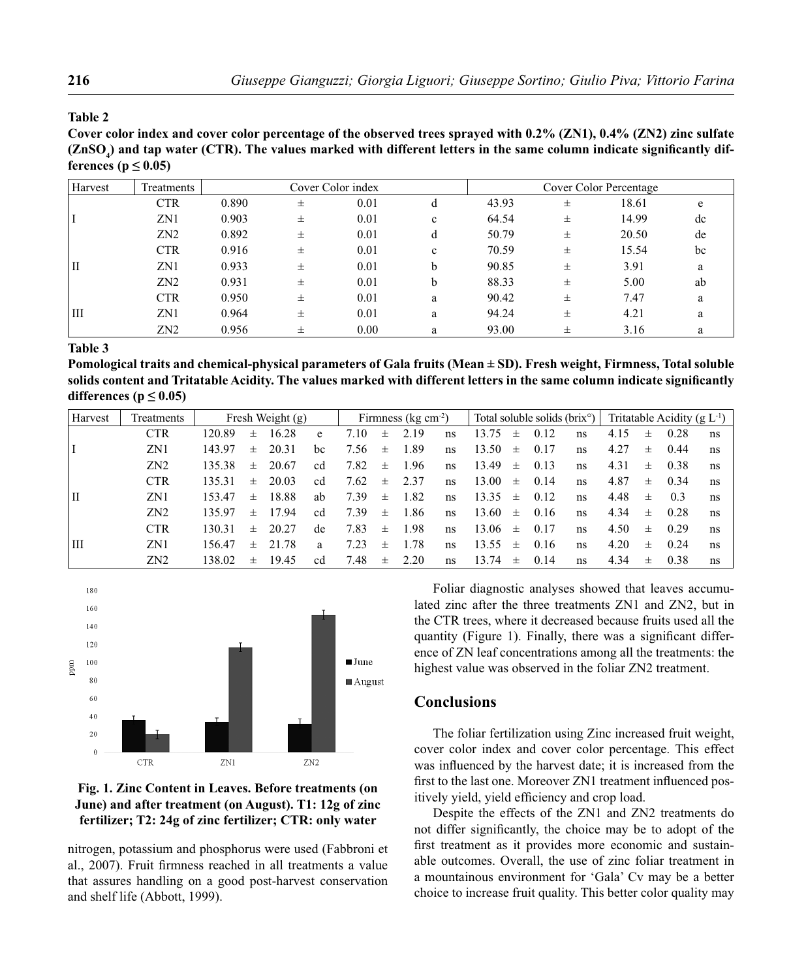#### **Table 2**

**Cover color index and cover color percentage of the observed trees sprayed with 0.2% (ZN1), 0.4% (ZN2) zinc sulfate**   $(\mathsf{ZnSO}_4)$  and tap water (CTR). The values marked with different letters in the same column indicate significantly dif**ferences** ( $p \leq 0.05$ )

| Harvest     | Treatments      |       |   | Cover Color index |             | Cover Color Percentage |   |       |    |  |  |  |
|-------------|-----------------|-------|---|-------------------|-------------|------------------------|---|-------|----|--|--|--|
|             | <b>CTR</b>      | 0.890 | 士 | 0.01              | d           | 43.93                  | 士 | 18.61 | e  |  |  |  |
|             | ZN1             | 0.903 | 士 | 0.01              | $\mathbf c$ | 64.54                  | 士 | 14.99 | dc |  |  |  |
|             | ZN <sub>2</sub> | 0.892 | 士 | 0.01              | d           | 50.79                  | 士 | 20.50 | de |  |  |  |
|             | <b>CTR</b>      | 0.916 | 士 | 0.01              | $\mathbf c$ | 70.59                  | 士 | 15.54 | bc |  |  |  |
| $_{\rm II}$ | ZN1             | 0.933 | 士 | 0.01              | b           | 90.85                  | 士 | 3.91  | a  |  |  |  |
|             | ZN <sub>2</sub> | 0.931 | 士 | 0.01              | b           | 88.33                  | 士 | 5.00  | ab |  |  |  |
|             | <b>CTR</b>      | 0.950 | 士 | 0.01              | a           | 90.42                  | 士 | 7.47  | a  |  |  |  |
| Ш           | ZN1             | 0.964 | 士 | 0.01              | a           | 94.24                  | 士 | 4.21  | a  |  |  |  |
|             | ZN <sub>2</sub> | 0.956 | 士 | 0.00              | a           | 93.00                  | 士 | 3.16  | a  |  |  |  |

**Table 3** 

**Pomological traits and chemical-physical parameters of Gala fruits (Mean ± SD). Fresh weight, Firmness, Total soluble**  solids content and Tritatable Acidity. The values marked with different letters in the same column indicate significantly differences ( $p \leq 0.05$ )

| Harvest | Treatments      | Fresh Weight $(g)$ |       |       |    | Firmness ( $kg \, cm^{-2}$ ) |       |      |    | Total soluble solids (brix <sup>o</sup> ) |          |      |    | Tritatable Acidity ( $g L^{-1}$ ) |          |      |    |
|---------|-----------------|--------------------|-------|-------|----|------------------------------|-------|------|----|-------------------------------------------|----------|------|----|-----------------------------------|----------|------|----|
|         | <b>CTR</b>      | 120.89             | $\pm$ | 16.28 | e  | 7.10                         | $\pm$ | 2.19 | ns | 13.75                                     | 士        | 0.12 | ns | 4.15                              | 士        | 0.28 | ns |
|         | ZN1             | 143.97             | $\pm$ | 20.31 | bc | 7.56                         | $\pm$ | 1.89 | ns | 13.50                                     | $_{\pm}$ | 0.17 | ns | 4.27                              | 士        | 0.44 | ns |
|         | ZN <sub>2</sub> | 135.38             | $\pm$ | 20.67 | cd | 7.82                         | $\pm$ | 1.96 | ns | 13.49                                     | $_{\pm}$ | 0.13 | ns | 4.31                              | $_{\pm}$ | 0.38 | ns |
|         | <b>CTR</b>      | 135.31             | $\pm$ | 20.03 | cd | 7.62                         | 士     | 2.37 | ns | 13.00                                     | $\pm$    | 0.14 | ns | 4.87                              | $_{\pm}$ | 0.34 | ns |
| l II    | ZN1             | 153.47             | $\pm$ | 18.88 | ab | 7.39                         | $\pm$ | 1.82 | ns | 13.35                                     | $\pm$    | 0.12 | ns | 4.48                              | 士        | 0.3  | ns |
|         | ZN <sub>2</sub> | 135.97             | $\pm$ | 17.94 | cd | 7.39                         | 士     | 1.86 | ns | 13.60                                     | $\pm$    | 0.16 | ns | 4.34                              | $\pm$    | 0.28 | ns |
|         | <b>CTR</b>      | 130.31             | $\pm$ | 20.27 | de | 7.83                         | $\pm$ | 1.98 | ns | 13.06                                     | $_{\pm}$ | 0.17 | ns | 4.50                              | $+$      | 0.29 | ns |
| l III   | ZN1             | 156.47             | $\pm$ | 21.78 | a  | 7.23                         | $\pm$ | 1.78 | ns | 13.55                                     | $_{\pm}$ | 0.16 | ns | 4.20                              | $_{\pm}$ | 0.24 | ns |
|         | ZN2             | 138.02             | 士     | 19.45 | cd | 7.48                         | $\pm$ | 2.20 | ns | 13.74                                     | 士        | 0.14 | ns | 4.34                              | 士        | 0.38 | ns |



## **Fig. 1. Zinc Content in Leaves. Before treatments (on June) and after treatment (on August). T1: 12g of zinc fertilizer; T2: 24g of zinc fertilizer; CTR: only water**

nitrogen, potassium and phosphorus were used (Fabbroni et al., 2007). Fruit firmness reached in all treatments a value that assures handling on a good post-harvest conservation and shelf life (Abbott, 1999).

Foliar diagnostic analyses showed that leaves accumulated zinc after the three treatments ZN1 and ZN2, but in the CTR trees, where it decreased because fruits used all the quantity (Figure 1). Finally, there was a significant difference of ZN leaf concentrations among all the treatments: the highest value was observed in the foliar ZN2 treatment.

## **Conclusions**

The foliar fertilization using Zinc increased fruit weight, cover color index and cover color percentage. This effect was influenced by the harvest date; it is increased from the first to the last one. Moreover ZN1 treatment influenced positively yield, yield efficiency and crop load.

Despite the effects of the ZN1 and ZN2 treatments do not differ significantly, the choice may be to adopt of the first treatment as it provides more economic and sustainable outcomes. Overall, the use of zinc foliar treatment in a mountainous environment for 'Gala' Cv may be a better choice to increase fruit quality. This better color quality may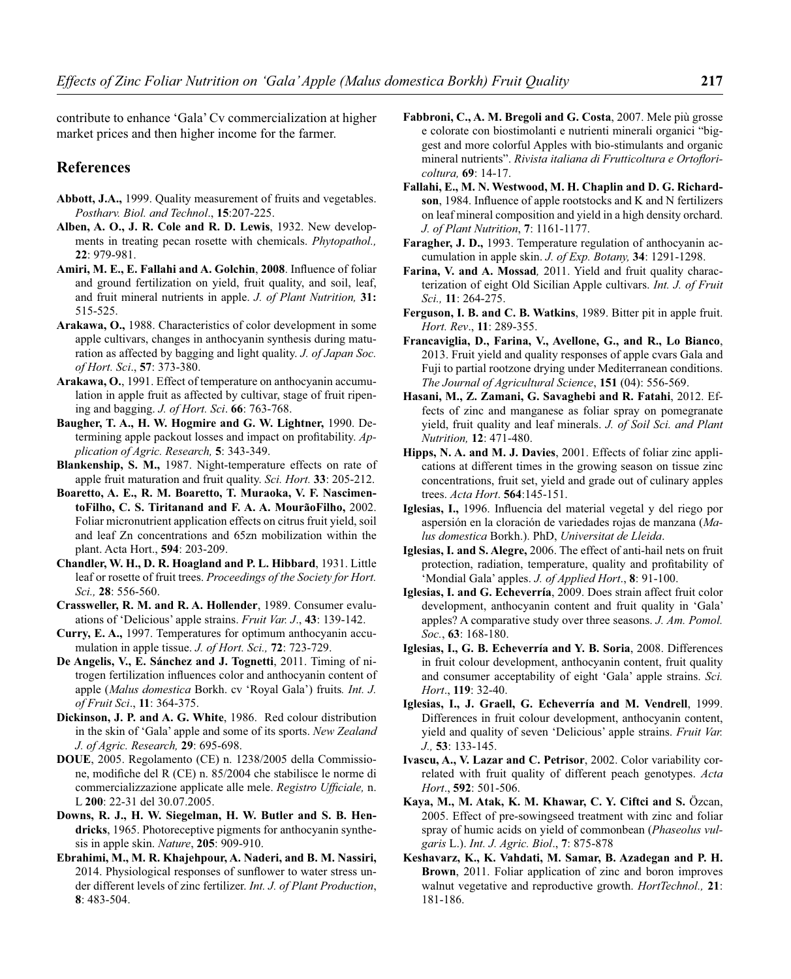contribute to enhance 'Gala' Cv commercialization at higher market prices and then higher income for the farmer.

## **References**

- **Abbott, J.A.,** 1999. Quality measurement of fruits and vegetables. *Postharv. Biol. and Technol*., **15**:207-225.
- **Alben, A. O., J. R. Cole and R. D. Lewis**, 1932. New developments in treating pecan rosette with chemicals. *Phytopathol.,* **22**: 979-981.
- Amiri, M. E., E. Fallahi and A. Golchin, 2008. Influence of foliar and ground fertilization on yield, fruit quality, and soil, leaf, and fruit mineral nutrients in apple. *J. of Plant Nutrition,* **31:**  515-525.
- **Arakawa, O.,** 1988. Characteristics of color development in some apple cultivars, changes in anthocyanin synthesis during maturation as affected by bagging and light quality. *J. of Japan Soc. of Hort. Sci*., **57**: 373-380.
- **Arakawa, O.**, 1991. Effect of temperature on anthocyanin accumulation in apple fruit as affected by cultivar, stage of fruit ripening and bagging. *J. of Hort. Sci*. **66**: 763-768.
- **Baugher, T. A., H. W. Hogmire and G. W. Lightner,** 1990. Determining apple packout losses and impact on profitability. Ap*plication of Agric. Research,* **5**: 343-349.
- **Blankenship, S. M.,** 1987. Night-temperature effects on rate of apple fruit maturation and fruit quality. *Sci. Hort.* **33**: 205-212.
- **Boaretto, A. E., R. M. Boaretto, T. Muraoka, V. F. NascimentoFilho, C. S. Tiritanand and F. A. A. MourãoFilho,** 2002. Foliar micronutrient application effects on citrus fruit yield, soil and leaf Zn concentrations and 65zn mobilization within the plant. Acta Hort., **594**: 203-209.
- **Chandler, W. H., D. R. Hoagland and P. L. Hibbard**, 1931. Little leaf or rosette of fruit trees. *Proceedings of the Society for Hort. Sci.,* **28**: 556-560.
- **Crassweller, R. M. and R. A. Hollender**, 1989. Consumer evaluations of 'Delicious' apple strains. *Fruit Var. J*., **43**: 139-142.
- **Curry, E. A.,** 1997. Temperatures for optimum anthocyanin accumulation in apple tissue. *J. of Hort. Sci.,* **72**: 723-729.
- **De Angelis, V., E. Sánchez and J. Tognetti**, 2011. Timing of nitrogen fertilization influences color and anthocyanin content of apple (*Malus domestica* Borkh. cv 'Royal Gala') fruits*. Int. J. of Fruit Sci*., **11**: 364-375.
- **Dickinson, J. P. and A. G. White**, 1986. Red colour distribution in the skin of 'Gala' apple and some of its sports. *New Zealand J. of Agric. Research,* **29**: 695-698.
- **DOUE**, 2005. Regolamento (CE) n. 1238/2005 della Commissione, modifiche del R (CE) n. 85/2004 che stabilisce le norme di commercializzazione applicate alle mele. *Registro Ufficiale*, n. L **200**: 22-31 del 30.07.2005.
- **Downs, R. J., H. W. Siegelman, H. W. Butler and S. B. Hendricks**, 1965. Photoreceptive pigments for anthocyanin synthesis in apple skin. *Nature*, **205**: 909-910.
- **Ebrahimi, M., M. R. Khajehpour, A. Naderi, and B. M. Nassiri,** 2014. Physiological responses of sunflower to water stress under different levels of zinc fertilizer. *Int. J. of Plant Production*, **8**: 483-504.
- **Fabbroni, C., A. M. Bregoli and G. Costa**, 2007. Mele più grosse e colorate con biostimolanti e nutrienti minerali organici "biggest and more colorful Apples with bio-stimulants and organic mineral nutrients". Rivista italiana di Frutticoltura e Ortoflori*coltura,* **69**: 14-17.
- **Fallahi, E., M. N. Westwood, M. H. Chaplin and D. G. Richardson**, 1984. Influence of apple rootstocks and K and N fertilizers on leaf mineral composition and yield in a high density orchard. *J. of Plant Nutrition*, **7**: 1161-1177.
- **Faragher, J. D.,** 1993. Temperature regulation of anthocyanin accumulation in apple skin. *J. of Exp. Botany,* **34**: 1291-1298.
- **Farina, V. and A. Mossad***,* 2011. Yield and fruit quality characterization of eight Old Sicilian Apple cultivars. *Int. J. of Fruit Sci.,* **11**: 264-275.
- **Ferguson, I. B. and C. B. Watkins**, 1989. Bitter pit in apple fruit. *Hort. Rev*., **11**: 289-355.
- **Francaviglia, D., Farina, V., Avellone, G., and R., Lo Bianco**, 2013. Fruit yield and quality responses of apple cvars Gala and Fuji to partial rootzone drying under Mediterranean conditions. *The Journal of Agricultural Science*, **151** (04): 556-569.
- **Hasani, M., Z. Zamani, G. Savaghebi and R. Fatahi**, 2012. Effects of zinc and manganese as foliar spray on pomegranate yield, fruit quality and leaf minerals. *J. of Soil Sci. and Plant Nutrition,* **12**: 471-480.
- **Hipps, N. A. and M. J. Davies**, 2001. Effects of foliar zinc applications at different times in the growing season on tissue zinc concentrations, fruit set, yield and grade out of culinary apples trees. *Acta Hort*. **564**:145-151.
- Iglesias, I., 1996. Influencia del material vegetal y del riego por aspersión en la cloración de variedades rojas de manzana (*Malus domestica* Borkh.). PhD, *Universitat de Lleida*.
- **Iglesias, I. and S. Alegre,** 2006. The effect of anti-hail nets on fruit protection, radiation, temperature, quality and profitability of 'Mondial Gala' apples. *J. of Applied Hort*., **8**: 91-100.
- **Iglesias, I. and G. Echeverría**, 2009. Does strain affect fruit color development, anthocyanin content and fruit quality in 'Gala' apples? A comparative study over three seasons. *J. Am. Pomol. Soc.*, **63**: 168-180.
- **Iglesias, I., G. B. Echeverría and Y. B. Soria**, 2008. Differences in fruit colour development, anthocyanin content, fruit quality and consumer acceptability of eight 'Gala' apple strains. *Sci. Hort*., **119**: 32-40.
- **Iglesias, I., J. Graell, G. Echeverría and M. Vendrell**, 1999. Differences in fruit colour development, anthocyanin content, yield and quality of seven 'Delicious' apple strains. *Fruit Var. J.,* **53**: 133-145.
- **Ivascu, A., V. Lazar and C. Petrisor**, 2002. Color variability correlated with fruit quality of different peach genotypes. *Acta Hort*., **592**: 501-506.
- **Kaya, M., M. Atak, K. M. Khawar, C. Y. Ciftci and S.** Özcan, 2005. Effect of pre-sowingseed treatment with zinc and foliar spray of humic acids on yield of commonbean (*Phaseolus vulgaris* L.). *Int. J. Agric. Biol*., **7**: 875-878
- **Keshavarz, K., K. Vahdati, M. Samar, B. Azadegan and P. H. Brown**, 2011. Foliar application of zinc and boron improves walnut vegetative and reproductive growth. *HortTechnol.,* **21**: 181-186.